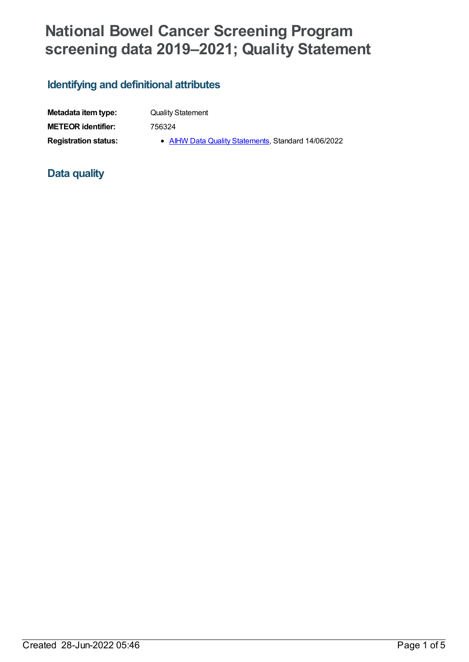# **National Bowel Cancer Screening Program screening data 2019–2021; Quality Statement**

# **Identifying and definitional attributes**

| Metadata item type:         |  |
|-----------------------------|--|
| <b>METEOR identifier:</b>   |  |
| <b>Registration status:</b> |  |

**Quality Statement** 

**METEOR identifier:** 756324

gistration status: **AIHW Data Quality [Statements](https://meteor.aihw.gov.au/RegistrationAuthority/5)**, Standard 14/06/2022

## **Data quality**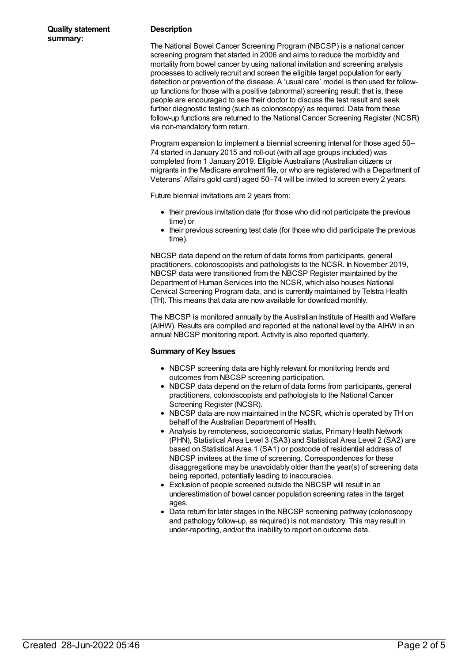#### **Description**

The National Bowel Cancer Screening Program (NBCSP) is a national cancer screening program that started in 2006 and aims to reduce the morbidity and mortality from bowel cancer by using national invitation and screening analysis processes to actively recruit and screen the eligible target population for early detection or prevention of the disease. A 'usual care' model is then used for followup functions for those with a positive (abnormal) screening result; that is, these people are encouraged to see their doctor to discuss the test result and seek further diagnostic testing (such as colonoscopy) as required. Data from these follow-up functions are returned to the National Cancer Screening Register (NCSR) via non-mandatory form return.

Program expansion to implement a biennial screening interval for those aged 50– 74 started in January 2015 and roll-out (with all age groups included) was completed from 1 January 2019. Eligible Australians (Australian citizens or migrants in the Medicare enrolment file, or who are registered with a Department of Veterans' Affairs gold card) aged 50–74 will be invited to screen every 2 years.

Future biennial invitations are 2 years from:

- their previous invitation date (for those who did not participate the previous time) or
- their previous screening test date (for those who did participate the previous time).

NBCSP data depend on the return of data forms from participants, general practitioners, colonoscopists and pathologists to the NCSR. In November 2019, NBCSP data were transitioned from the NBCSP Register maintained by the Department of Human Services into the NCSR, which also houses National Cervical Screening Program data, and is currently maintained by Telstra Health (TH). This means that data are now available for download monthly.

The NBCSP is monitored annually by the Australian Institute of Health and Welfare (AIHW). Results are compiled and reported at the national level by the AIHW in an annual NBCSP monitoring report. Activity is also reported quarterly.

#### **Summary of Key Issues**

- NBCSP screening data are highly relevant for monitoring trends and outcomes from NBCSP screening participation.
- NBCSP data depend on the return of data forms from participants, general practitioners, colonoscopists and pathologists to the National Cancer Screening Register (NCSR).
- NBCSP data are now maintained in the NCSR, which is operated by TH on behalf of the Australian Department of Health.
- Analysis by remoteness, socioeconomic status, Primary Health Network (PHN), Statistical Area Level 3 (SA3) and Statistical Area Level 2 (SA2) are based on Statistical Area 1 (SA1) or postcode of residential address of NBCSP invitees at the time of screening. Correspondences for these disaggregations may be unavoidably older than the year(s) of screening data being reported, potentially leading to inaccuracies.
- Exclusion of people screened outside the NBCSP will result in an underestimation of bowel cancer population screening rates in the target ages.
- Data return for later stages in the NBCSP screening pathway (colonoscopy and pathology follow-up, as required) is not mandatory. This may result in under-reporting, and/or the inability to report on outcome data.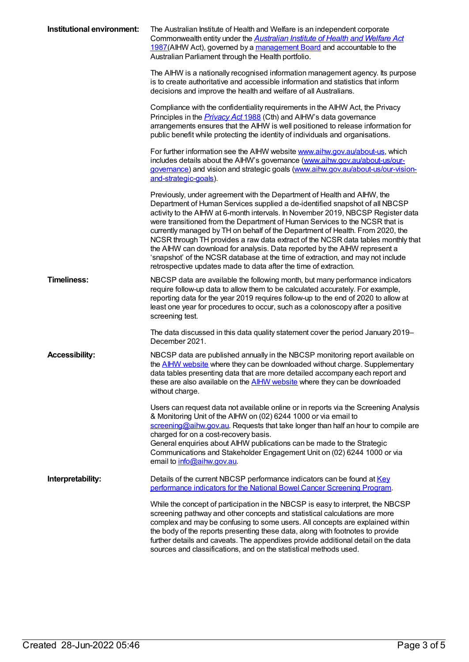| Institutional environment: | The Australian Institute of Health and Welfare is an independent corporate<br>Commonwealth entity under the <b>Australian Institute of Health and Welfare Act</b><br>1987(AlHW Act), governed by a management Board and accountable to the<br>Australian Parliament through the Health portfolio.                                                                                                                                                                                                                                                                                                                                                                                                                                 |
|----------------------------|-----------------------------------------------------------------------------------------------------------------------------------------------------------------------------------------------------------------------------------------------------------------------------------------------------------------------------------------------------------------------------------------------------------------------------------------------------------------------------------------------------------------------------------------------------------------------------------------------------------------------------------------------------------------------------------------------------------------------------------|
|                            | The AIHW is a nationally recognised information management agency. Its purpose<br>is to create authoritative and accessible information and statistics that inform<br>decisions and improve the health and welfare of all Australians.                                                                                                                                                                                                                                                                                                                                                                                                                                                                                            |
|                            | Compliance with the confidentiality requirements in the AIHW Act, the Privacy<br>Principles in the <i>Privacy Act</i> 1988 (Cth) and AIHW's data governance<br>arrangements ensures that the AIHW is well positioned to release information for<br>public benefit while protecting the identity of individuals and organisations.                                                                                                                                                                                                                                                                                                                                                                                                 |
|                            | For further information see the AIHW website www.aihw.gov.au/about-us, which<br>includes details about the AIHW's governance (www.aihw.gov.au/about-us/our-<br>governance) and vision and strategic goals (www.aihw.gov.au/about-us/our-vision-<br>and-strategic-goals).                                                                                                                                                                                                                                                                                                                                                                                                                                                          |
|                            | Previously, under agreement with the Department of Health and AIHW, the<br>Department of Human Services supplied a de-identified snapshot of all NBCSP<br>activity to the AIHW at 6-month intervals. In November 2019, NBCSP Register data<br>were transitioned from the Department of Human Services to the NCSR that is<br>currently managed by TH on behalf of the Department of Health. From 2020, the<br>NCSR through TH provides a raw data extract of the NCSR data tables monthly that<br>the AIHW can download for analysis. Data reported by the AIHW represent a<br>'snapshot' of the NCSR database at the time of extraction, and may not include<br>retrospective updates made to data after the time of extraction. |
| <b>Timeliness:</b>         | NBCSP data are available the following month, but many performance indicators<br>require follow-up data to allow them to be calculated accurately. For example,<br>reporting data for the year 2019 requires follow-up to the end of 2020 to allow at<br>least one year for procedures to occur, such as a colonoscopy after a positive<br>screening test.                                                                                                                                                                                                                                                                                                                                                                        |
|                            | The data discussed in this data quality statement cover the period January 2019–<br>December 2021.                                                                                                                                                                                                                                                                                                                                                                                                                                                                                                                                                                                                                                |
| <b>Accessibility:</b>      | NBCSP data are published annually in the NBCSP monitoring report available on<br>the <b>AIHW</b> website where they can be downloaded without charge. Supplementary<br>data tables presenting data that are more detailed accompany each report and<br>these are also available on the <b>AIHW</b> website where they can be downloaded<br>without charge.                                                                                                                                                                                                                                                                                                                                                                        |
|                            | Users can request data not available online or in reports via the Screening Analysis<br>& Monitoring Unit of the AIHW on (02) 6244 1000 or via email to<br>screening@aihw.gov.au. Requests that take longer than half an hour to compile are<br>charged for on a cost-recovery basis.<br>General enquiries about AIHW publications can be made to the Strategic<br>Communications and Stakeholder Engagement Unit on (02) 6244 1000 or via<br>email to info@aihw.gov.au.                                                                                                                                                                                                                                                          |
| Interpretability:          | Details of the current NBCSP performance indicators can be found at Key<br>performance indicators for the National Bowel Cancer Screening Program.                                                                                                                                                                                                                                                                                                                                                                                                                                                                                                                                                                                |
|                            | While the concept of participation in the NBCSP is easy to interpret, the NBCSP<br>screening pathway and other concepts and statistical calculations are more<br>complex and may be confusing to some users. All concepts are explained within<br>the body of the reports presenting these data, along with footnotes to provide<br>further details and caveats. The appendixes provide additional detail on the data<br>sources and classifications, and on the statistical methods used.                                                                                                                                                                                                                                        |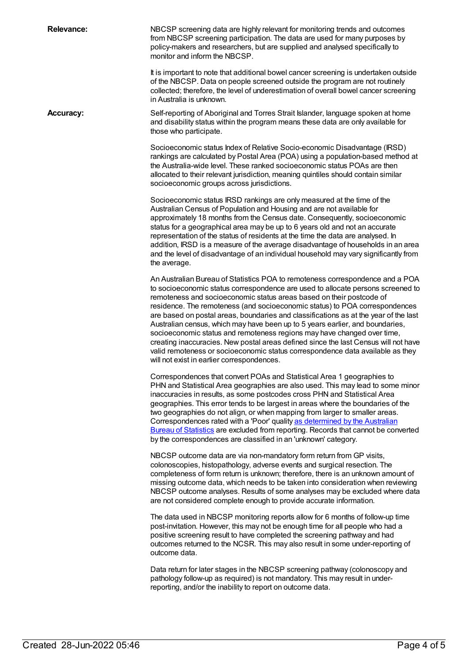**Relevance:** NBCSP screening data are highly relevant for monitoring trends and outcomes from NBCSP screening participation. The data are used for many purposes by policy-makers and researchers, but are supplied and analysed specifically to monitor and inform the NBCSP.

> It is important to note that additional bowel cancer screening is undertaken outside of the NBCSP. Data on people screened outside the program are not routinely collected; therefore, the level of underestimation of overall bowel cancer screening in Australia is unknown.

**Accuracy:** Self-reporting of Aboriginal and Torres Strait Islander, language spoken at home and disability status within the program means these data are only available for those who participate.

> Socioeconomic status Index of Relative Socio-economic Disadvantage (IRSD) rankings are calculated by Postal Area (POA) using a population-based method at the Australia-wide level. These ranked socioeconomic status POAs are then allocated to their relevant jurisdiction, meaning quintiles should contain similar socioeconomic groups across jurisdictions.

> Socioeconomic status IRSD rankings are only measured at the time of the Australian Census of Population and Housing and are not available for approximately 18 months from the Census date. Consequently, socioeconomic status for a geographical area may be up to 6 years old and not an accurate representation of the status of residents at the time the data are analysed. In addition, IRSD is a measure of the average disadvantage of households in an area and the level of disadvantage of an individual household may vary significantly from the average.

> An Australian Bureau of Statistics POA to remoteness correspondence and a POA to socioeconomic status correspondence are used to allocate persons screened to remoteness and socioeconomic status areas based on their postcode of residence. The remoteness (and socioeconomic status) to POA correspondences are based on postal areas, boundaries and classifications as at the year of the last Australian census, which may have been up to 5 years earlier, and boundaries, socioeconomic status and remoteness regions may have changed over time, creating inaccuracies. New postal areas defined since the last Census will not have valid remoteness or socioeconomic status correspondence data available as they will not exist in earlier correspondences.

> Correspondences that convert POAs and Statistical Area 1 geographies to PHN and Statistical Area geographies are also used. This may lead to some minor inaccuracies in results, as some postcodes cross PHN and Statistical Area geographies. This error tends to be largest in areas where the boundaries of the two geographies do not align, or when mapping from larger to smaller areas. [Correspondences](https://www.abs.gov.au/ausstats/abs@.nsf/Latestproducts/1216.0.55.004Main%20Features72012?opendocument&tabname=Summary&prodno=1216.0.55.004&issue=2012&num=&view=) rated with a 'Poor' quality as determined by the Australian Bureau of Statistics are excluded from reporting. Records that cannot be converted by the correspondences are classified in an 'unknown' category.

> NBCSP outcome data are via non-mandatory form return from GP visits, colonoscopies, histopathology, adverse events and surgical resection. The completeness of form return is unknown; therefore, there is an unknown amount of missing outcome data, which needs to be taken into consideration when reviewing NBCSP outcome analyses. Results of some analyses may be excluded where data are not considered complete enough to provide accurate information.

The data used in NBCSP monitoring reports allow for 6 months of follow-up time post-invitation. However, this may not be enough time for all people who had a positive screening result to have completed the screening pathway and had outcomes returned to the NCSR. This may also result in some under-reporting of outcome data.

Data return for later stages in the NBCSP screening pathway (colonoscopy and pathology follow-up as required) is not mandatory. This may result in underreporting, and/or the inability to report on outcome data.